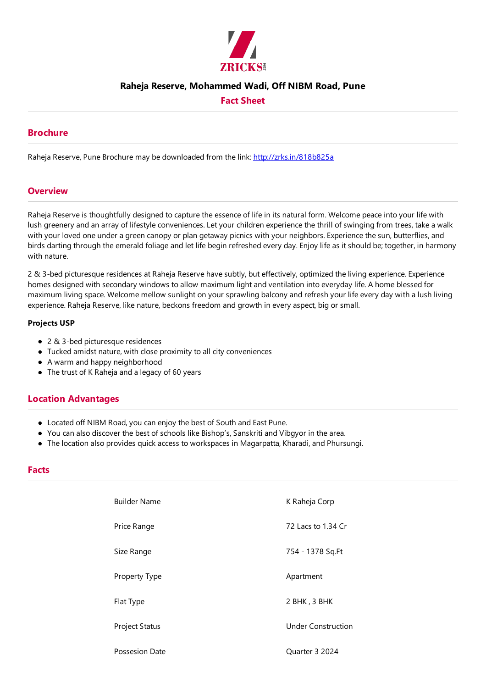

### **Raheja Reserve, Mohammed Wadi, Off NIBM Road, Pune**

## **Fact Sheet**

### **Brochure**

Raheja Reserve, Pune Brochure may be downloaded from the link: http://zrks.in/818b825a

#### **Overview**

Raheja Reserve is thoughtfully designed to capture the essence of life in its natural form. Welcome peace into your life with lush greenery and an array of lifestyle conveniences. Let your children experience the thrill of swinging from trees, take a walk with your loved one under a green canopy or plan getaway picnics with your neighbors. Experience the sun, butterflies, and birds darting through the emerald foliage and let life begin refreshed every day. Enjoy life as it should be; together, in harmony with nature.

2 & 3-bed picturesque residences at Raheja Reserve have subtly, but effectively, optimized the living experience. Experience homes designed with secondary windows to allow maximum light and ventilation into everyday life. A home blessed for maximum living space. Welcome mellow sunlight on your sprawling balcony and refresh your life every day with a lush living experience. Raheja Reserve, like nature, beckons freedom and growth in every aspect, big or small.

#### **Projects USP**

- $\bullet$  2 & 3-bed picturesque residences
- Tucked amidst nature, with close proximity to all city conveniences
- A warm and happy neighborhood
- $\bullet$  The trust of K Raheja and a legacy of 60 years

## **Location Advantages**

- Located off NIBM Road, you can enjoy the best of South and East Pune.
- You can also discover the best of schools like Bishop's, Sanskriti and Vibgyor in the area.
- The location also provides quick access to workspaces in Magarpatta, Kharadi, and Phursungi.

#### **Facts**

| <b>Builder Name</b>   | K Raheja Corp             |
|-----------------------|---------------------------|
| Price Range           | 72 Lacs to 1.34 Cr        |
| Size Range            | 754 - 1378 Sq.Ft          |
| Property Type         | Apartment                 |
| Flat Type             | 2 BHK, 3 BHK              |
| Project Status        | <b>Under Construction</b> |
| <b>Possesion Date</b> | Quarter 3 2024            |